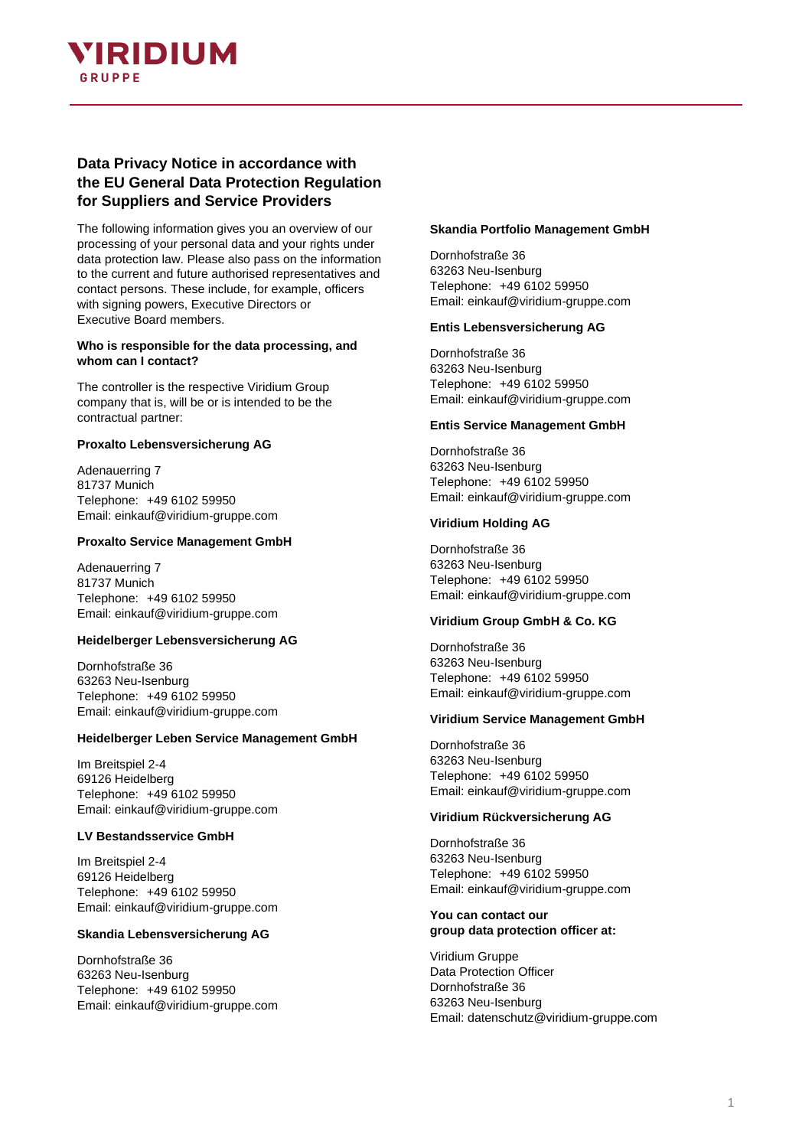

# **Data Privacy Notice in accordance with the EU General Data Protection Regulation for Suppliers and Service Providers**

The following information gives you an overview of our processing of your personal data and your rights under data protection law. Please also pass on the information to the current and future authorised representatives and contact persons. These include, for example, officers with signing powers, Executive Directors or Executive Board members.

### **Who is responsible for the data processing, and whom can I contact?**

The controller is the respective Viridium Group company that is, will be or is intended to be the contractual partner:

### **Proxalto Lebensversicherung AG**

Adenauerring 7 81737 Munich Telephone: +49 6102 59950 Email: einkauf@viridium-gruppe.com

### **Proxalto Service Management GmbH**

Adenauerring 7 81737 Munich Telephone: +49 6102 59950 Email: einkauf@viridium-gruppe.com

## **Heidelberger Lebensversicherung AG**

Dornhofstraße 36 63263 Neu-Isenburg Telephone: +49 6102 59950 Email: einkauf@viridium-gruppe.com

### **Heidelberger Leben Service Management GmbH**

Im Breitspiel 2-4 69126 Heidelberg Telephone: +49 6102 59950 Email: einkauf@viridium-gruppe.com

### **LV Bestandsservice GmbH**

Im Breitspiel 2-4 69126 Heidelberg Telephone: +49 6102 59950 Email: einkauf@viridium-gruppe.com

## **Skandia Lebensversicherung AG**

Dornhofstraße 36 63263 Neu-Isenburg Telephone: +49 6102 59950 Email: einkauf@viridium-gruppe.com

### **Skandia Portfolio Management GmbH**

Dornhofstraße 36 63263 Neu-Isenburg Telephone: +49 6102 59950 Email: einkauf@viridium-gruppe.com

### **Entis Lebensversicherung AG**

Dornhofstraße 36 63263 Neu-Isenburg Telephone: +49 6102 59950 Email: einkauf@viridium-gruppe.com

## **Entis Service Management GmbH**

Dornhofstraße 36 63263 Neu-Isenburg Telephone: +49 6102 59950 Email: einkauf@viridium-gruppe.com

### **Viridium Holding AG**

Dornhofstraße 36 63263 Neu-Isenburg Telephone: +49 6102 59950 Email: einkauf@viridium-gruppe.com

## **Viridium Group GmbH & Co. KG**

Dornhofstraße 36 63263 Neu-Isenburg Telephone: +49 6102 59950 Email: einkauf@viridium-gruppe.com

### **Viridium Service Management GmbH**

Dornhofstraße 36 63263 Neu-Isenburg Telephone: +49 6102 59950 Email: einkauf@viridium-gruppe.com

## **Viridium Rückversicherung AG**

Dornhofstraße 36 63263 Neu-Isenburg Telephone: +49 6102 59950 Email: einkauf@viridium-gruppe.com

### **You can contact our group data protection officer at:**

Viridium Gruppe Data Protection Officer Dornhofstraße 36 63263 Neu-Isenburg Email: datenschutz@viridium-gruppe.com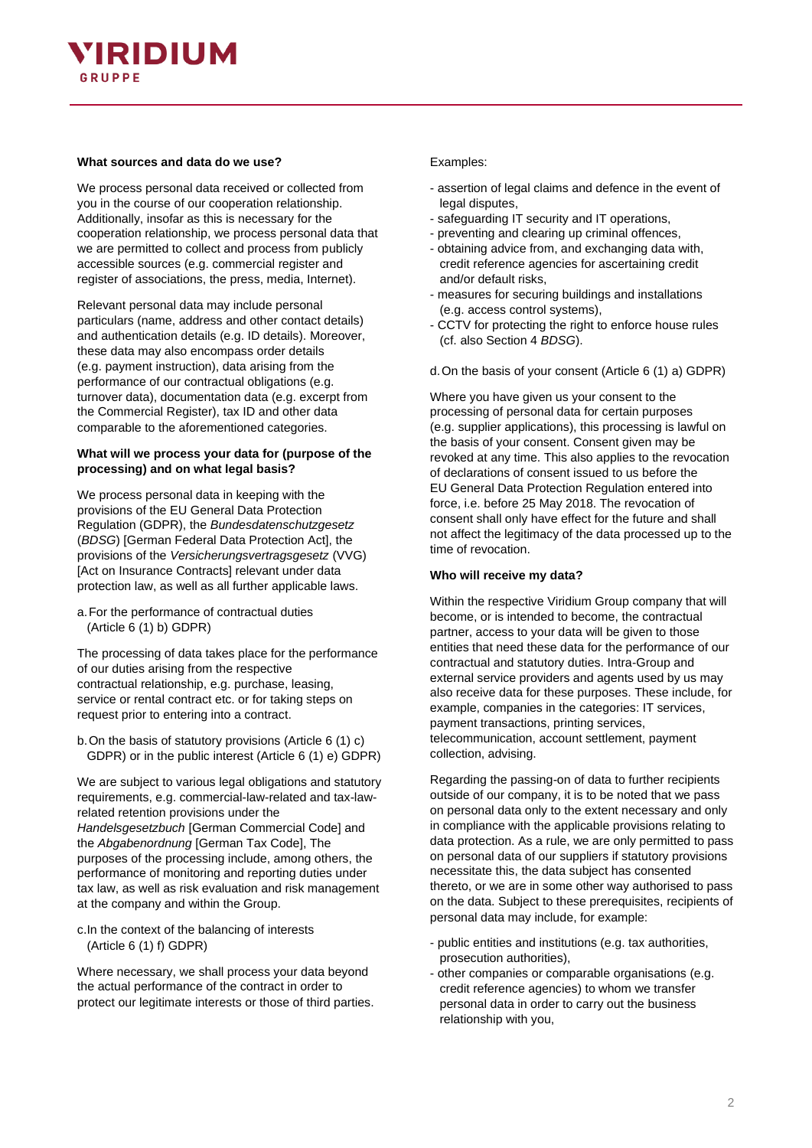# YIRIDIUM GRUPPF

## **What sources and data do we use?**

We process personal data received or collected from you in the course of our cooperation relationship. Additionally, insofar as this is necessary for the cooperation relationship, we process personal data that we are permitted to collect and process from publicly accessible sources (e.g. commercial register and register of associations, the press, media, Internet).

Relevant personal data may include personal particulars (name, address and other contact details) and authentication details (e.g. ID details). Moreover, these data may also encompass order details (e.g. payment instruction), data arising from the performance of our contractual obligations (e.g. turnover data), documentation data (e.g. excerpt from the Commercial Register), tax ID and other data comparable to the aforementioned categories.

## **What will we process your data for (purpose of the processing) and on what legal basis?**

We process personal data in keeping with the provisions of the EU General Data Protection Regulation (GDPR), the *Bundesdatenschutzgesetz* (*BDSG*) [German Federal Data Protection Act], the provisions of the *Versicherungsvertragsgesetz* (VVG) [Act on Insurance Contracts] relevant under data protection law, as well as all further applicable laws.

a.For the performance of contractual duties (Article 6 (1) b) GDPR)

The processing of data takes place for the performance of our duties arising from the respective contractual relationship, e.g. purchase, leasing, service or rental contract etc. or for taking steps on request prior to entering into a contract.

b.On the basis of statutory provisions (Article 6 (1) c) GDPR) or in the public interest (Article 6 (1) e) GDPR)

We are subject to various legal obligations and statutory requirements, e.g. commercial-law-related and tax-lawrelated retention provisions under the *Handelsgesetzbuch* [German Commercial Code] and the *Abgabenordnung* [German Tax Code], The purposes of the processing include, among others, the performance of monitoring and reporting duties under tax law, as well as risk evaluation and risk management at the company and within the Group.

c.In the context of the balancing of interests (Article 6 (1) f) GDPR)

Where necessary, we shall process your data beyond the actual performance of the contract in order to protect our legitimate interests or those of third parties.

## Examples:

- assertion of legal claims and defence in the event of legal disputes,
- safeguarding IT security and IT operations,
- preventing and clearing up criminal offences,
- obtaining advice from, and exchanging data with, credit reference agencies for ascertaining credit and/or default risks,
- measures for securing buildings and installations (e.g. access control systems),
- CCTV for protecting the right to enforce house rules (cf. also Section 4 *BDSG*).

d.On the basis of your consent (Article 6 (1) a) GDPR)

Where you have given us your consent to the processing of personal data for certain purposes (e.g. supplier applications), this processing is lawful on the basis of your consent. Consent given may be revoked at any time. This also applies to the revocation of declarations of consent issued to us before the EU General Data Protection Regulation entered into force, i.e. before 25 May 2018. The revocation of consent shall only have effect for the future and shall not affect the legitimacy of the data processed up to the time of revocation.

## **Who will receive my data?**

Within the respective Viridium Group company that will become, or is intended to become, the contractual partner, access to your data will be given to those entities that need these data for the performance of our contractual and statutory duties. Intra-Group and external service providers and agents used by us may also receive data for these purposes. These include, for example, companies in the categories: IT services, payment transactions, printing services, telecommunication, account settlement, payment collection, advising.

Regarding the passing-on of data to further recipients outside of our company, it is to be noted that we pass on personal data only to the extent necessary and only in compliance with the applicable provisions relating to data protection. As a rule, we are only permitted to pass on personal data of our suppliers if statutory provisions necessitate this, the data subject has consented thereto, or we are in some other way authorised to pass on the data. Subject to these prerequisites, recipients of personal data may include, for example:

- public entities and institutions (e.g. tax authorities, prosecution authorities),
- other companies or comparable organisations (e.g. credit reference agencies) to whom we transfer personal data in order to carry out the business relationship with you,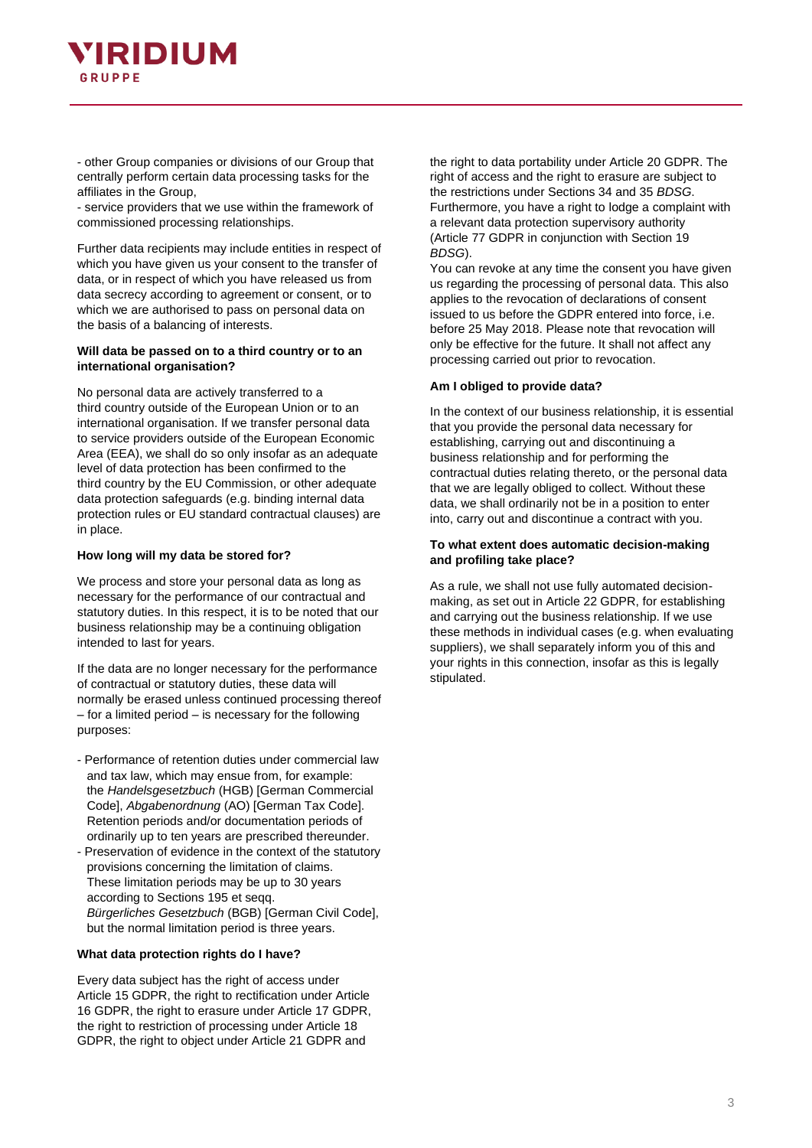

- other Group companies or divisions of our Group that centrally perform certain data processing tasks for the affiliates in the Group,

- service providers that we use within the framework of commissioned processing relationships.

Further data recipients may include entities in respect of which you have given us your consent to the transfer of data, or in respect of which you have released us from data secrecy according to agreement or consent, or to which we are authorised to pass on personal data on the basis of a balancing of interests.

### **Will data be passed on to a third country or to an international organisation?**

No personal data are actively transferred to a third country outside of the European Union or to an international organisation. If we transfer personal data to service providers outside of the European Economic Area (EEA), we shall do so only insofar as an adequate level of data protection has been confirmed to the third country by the EU Commission, or other adequate data protection safeguards (e.g. binding internal data protection rules or EU standard contractual clauses) are in place.

### **How long will my data be stored for?**

We process and store your personal data as long as necessary for the performance of our contractual and statutory duties. In this respect, it is to be noted that our business relationship may be a continuing obligation intended to last for years.

If the data are no longer necessary for the performance of contractual or statutory duties, these data will normally be erased unless continued processing thereof – for a limited period – is necessary for the following purposes:

- Performance of retention duties under commercial law and tax law, which may ensue from, for example: the *Handelsgesetzbuch* (HGB) [German Commercial Code], *Abgabenordnung* (AO) [German Tax Code]. Retention periods and/or documentation periods of ordinarily up to ten years are prescribed thereunder.
- Preservation of evidence in the context of the statutory provisions concerning the limitation of claims. These limitation periods may be up to 30 years according to Sections 195 et seqq. *Bürgerliches Gesetzbuch* (BGB) [German Civil Code], but the normal limitation period is three years.

### **What data protection rights do I have?**

Every data subject has the right of access under Article 15 GDPR, the right to rectification under Article 16 GDPR, the right to erasure under Article 17 GDPR, the right to restriction of processing under Article 18 GDPR, the right to object under Article 21 GDPR and

the right to data portability under Article 20 GDPR. The right of access and the right to erasure are subject to the restrictions under Sections 34 and 35 *BDSG*. Furthermore, you have a right to lodge a complaint with a relevant data protection supervisory authority (Article 77 GDPR in conjunction with Section 19 *BDSG*).

You can revoke at any time the consent you have given us regarding the processing of personal data. This also applies to the revocation of declarations of consent issued to us before the GDPR entered into force, i.e. before 25 May 2018. Please note that revocation will only be effective for the future. It shall not affect any processing carried out prior to revocation.

### **Am I obliged to provide data?**

In the context of our business relationship, it is essential that you provide the personal data necessary for establishing, carrying out and discontinuing a business relationship and for performing the contractual duties relating thereto, or the personal data that we are legally obliged to collect. Without these data, we shall ordinarily not be in a position to enter into, carry out and discontinue a contract with you.

### **To what extent does automatic decision-making and profiling take place?**

As a rule, we shall not use fully automated decisionmaking, as set out in Article 22 GDPR, for establishing and carrying out the business relationship. If we use these methods in individual cases (e.g. when evaluating suppliers), we shall separately inform you of this and your rights in this connection, insofar as this is legally stipulated.